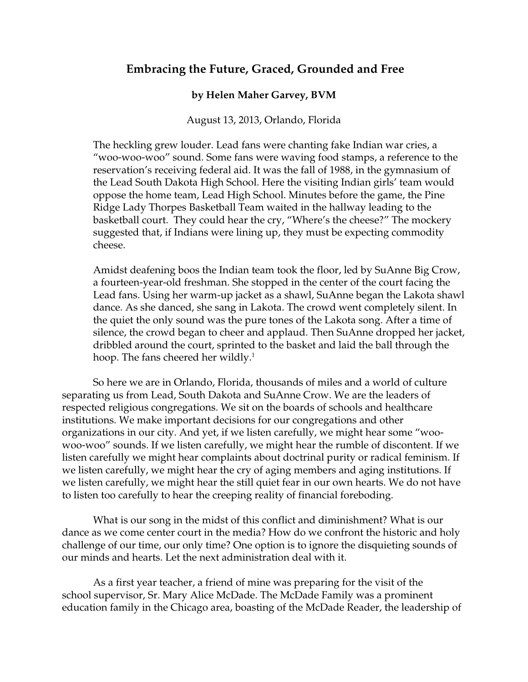# **Embracing the Future, Graced, Grounded and Free**

## **by Helen Maher Garvey, BVM**

### August 13, 2013, Orlando, Florida

 The heckling grew louder. Lead fans were chanting fake Indian war cries, a "woo-woo-woo" sound. Some fans were waving food stamps, a reference to the reservation's receiving federal aid. It was the fall of 1988, in the gymnasium of the Lead South Dakota High School. Here the visiting Indian girls' team would oppose the home team, Lead High School. Minutes before the game, the Pine Ridge Lady Thorpes Basketball Team waited in the hallway leading to the basketball court. They could hear the cry, "Where's the cheese?" The mockery suggested that, if Indians were lining up, they must be expecting commodity cheese.

Amidst deafening boos the Indian team took the floor, led by SuAnne Big Crow, a fourteen-year-old freshman. She stopped in the center of the court facing the Lead fans. Using her warm-up jacket as a shawl, SuAnne began the Lakota shawl dance. As she danced, she sang in Lakota. The crowd went completely silent. In the quiet the only sound was the pure tones of the Lakota song. After a time of silence, the crowd began to cheer and applaud. Then SuAnne dropped her jacket, dribbled around the court, sprinted to the basket and laid the ball through the hoop. The fans cheered her wildly. $^1$ 

So here we are in Orlando, Florida, thousands of miles and a world of culture separating us from Lead, South Dakota and SuAnne Crow. We are the leaders of respected religious congregations. We sit on the boards of schools and healthcare institutions. We make important decisions for our congregations and other organizations in our city. And yet, if we listen carefully, we might hear some "woowoo-woo" sounds. If we listen carefully, we might hear the rumble of discontent. If we listen carefully we might hear complaints about doctrinal purity or radical feminism. If we listen carefully, we might hear the cry of aging members and aging institutions. If we listen carefully, we might hear the still quiet fear in our own hearts. We do not have to listen too carefully to hear the creeping reality of financial foreboding.

What is our song in the midst of this conflict and diminishment? What is our dance as we come center court in the media? How do we confront the historic and holy challenge of our time, our only time? One option is to ignore the disquieting sounds of our minds and hearts. Let the next administration deal with it.

As a first year teacher, a friend of mine was preparing for the visit of the school supervisor, Sr. Mary Alice McDade. The McDade Family was a prominent education family in the Chicago area, boasting of the McDade Reader, the leadership of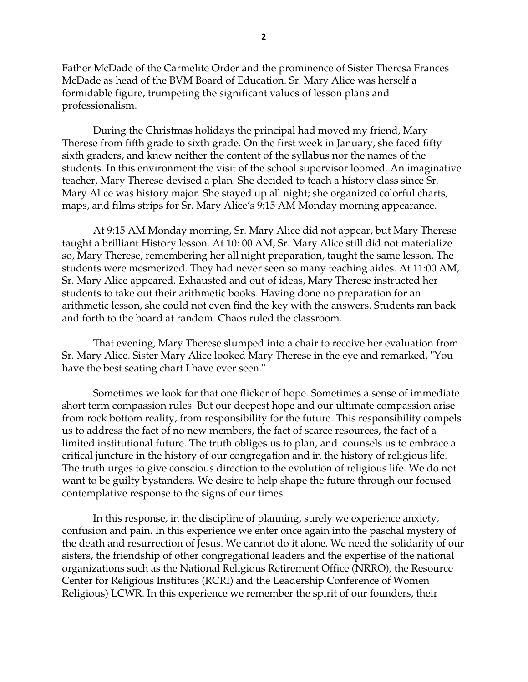Father McDade of the Carmelite Order and the prominence of Sister Theresa Frances McDade as head of the BVM Board of Education. Sr. Mary Alice was herself a formidable figure, trumpeting the significant values of lesson plans and professionalism.

During the Christmas holidays the principal had moved my friend, Mary Therese from fifth grade to sixth grade. On the first week in January, she faced fifty sixth graders, and knew neither the content of the syllabus nor the names of the students. In this environment the visit of the school supervisor loomed. An imaginative teacher, Mary Therese devised a plan. She decided to teach a history class since Sr. Mary Alice was history major. She stayed up all night; she organized colorful charts, maps, and films strips for Sr. Mary Alice's 9:15 AM Monday morning appearance.

 At 9:15 AM Monday morning, Sr. Mary Alice did not appear, but Mary Therese taught a brilliant History lesson. At 10: 00 AM, Sr. Mary Alice still did not materialize so, Mary Therese, remembering her all night preparation, taught the same lesson. The students were mesmerized. They had never seen so many teaching aides. At 11:00 AM, Sr. Mary Alice appeared. Exhausted and out of ideas, Mary Therese instructed her students to take out their arithmetic books. Having done no preparation for an arithmetic lesson, she could not even find the key with the answers. Students ran back and forth to the board at random. Chaos ruled the classroom.

That evening, Mary Therese slumped into a chair to receive her evaluation from Sr. Mary Alice. Sister Mary Alice looked Mary Therese in the eye and remarked, "You have the best seating chart I have ever seen."

 Sometimes we look for that one flicker of hope. Sometimes a sense of immediate short term compassion rules. But our deepest hope and our ultimate compassion arise from rock bottom reality, from responsibility for the future. This responsibility compels us to address the fact of no new members, the fact of scarce resources, the fact of a limited institutional future. The truth obliges us to plan, and counsels us to embrace a critical juncture in the history of our congregation and in the history of religious life. The truth urges to give conscious direction to the evolution of religious life. We do not want to be guilty bystanders. We desire to help shape the future through our focused contemplative response to the signs of our times.

 In this response, in the discipline of planning, surely we experience anxiety, confusion and pain. In this experience we enter once again into the paschal mystery of the death and resurrection of Jesus. We cannot do it alone. We need the solidarity of our sisters, the friendship of other congregational leaders and the expertise of the national organizations such as the National Religious Retirement Office (NRRO), the Resource Center for Religious Institutes (RCRI) and the Leadership Conference of Women Religious) LCWR. In this experience we remember the spirit of our founders, their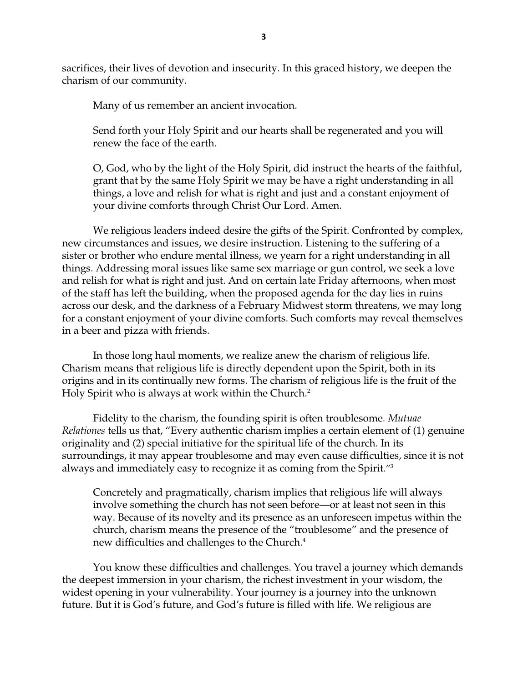sacrifices, their lives of devotion and insecurity. In this graced history, we deepen the charism of our community.

Many of us remember an ancient invocation.

Send forth your Holy Spirit and our hearts shall be regenerated and you will renew the face of the earth.

O, God, who by the light of the Holy Spirit, did instruct the hearts of the faithful, grant that by the same Holy Spirit we may be have a right understanding in all things, a love and relish for what is right and just and a constant enjoyment of your divine comforts through Christ Our Lord. Amen.

We religious leaders indeed desire the gifts of the Spirit. Confronted by complex, new circumstances and issues, we desire instruction. Listening to the suffering of a sister or brother who endure mental illness, we yearn for a right understanding in all things. Addressing moral issues like same sex marriage or gun control, we seek a love and relish for what is right and just. And on certain late Friday afternoons, when most of the staff has left the building, when the proposed agenda for the day lies in ruins across our desk, and the darkness of a February Midwest storm threatens, we may long for a constant enjoyment of your divine comforts. Such comforts may reveal themselves in a beer and pizza with friends.

In those long haul moments, we realize anew the charism of religious life. Charism means that religious life is directly dependent upon the Spirit, both in its origins and in its continually new forms. The charism of religious life is the fruit of the Holy Spirit who is always at work within the Church.2

Fidelity to the charism, the founding spirit is often troublesome*. Mutuae Relationes* tells us that, "Every authentic charism implies a certain element of (1) genuine originality and (2) special initiative for the spiritual life of the church. In its surroundings, it may appear troublesome and may even cause difficulties, since it is not always and immediately easy to recognize it as coming from the Spirit."3

Concretely and pragmatically, charism implies that religious life will always involve something the church has not seen before—or at least not seen in this way. Because of its novelty and its presence as an unforeseen impetus within the church, charism means the presence of the "troublesome" and the presence of new difficulties and challenges to the Church. $4$ 

You know these difficulties and challenges. You travel a journey which demands the deepest immersion in your charism, the richest investment in your wisdom, the widest opening in your vulnerability. Your journey is a journey into the unknown future. But it is God's future, and God's future is filled with life. We religious are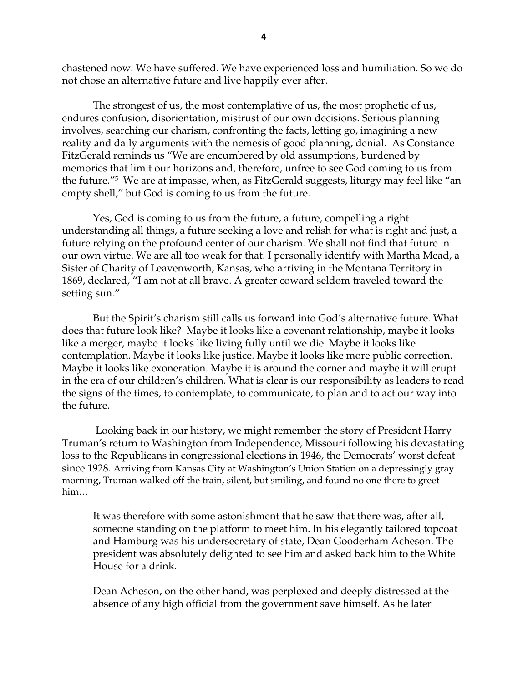chastened now. We have suffered. We have experienced loss and humiliation. So we do not chose an alternative future and live happily ever after.

 The strongest of us, the most contemplative of us, the most prophetic of us, endures confusion, disorientation, mistrust of our own decisions. Serious planning involves, searching our charism, confronting the facts, letting go, imagining a new reality and daily arguments with the nemesis of good planning, denial. As Constance FitzGerald reminds us "We are encumbered by old assumptions, burdened by memories that limit our horizons and, therefore, unfree to see God coming to us from the future."5 We are at impasse, when, as FitzGerald suggests, liturgy may feel like "an empty shell," but God is coming to us from the future.

Yes, God is coming to us from the future, a future, compelling a right understanding all things, a future seeking a love and relish for what is right and just, a future relying on the profound center of our charism. We shall not find that future in our own virtue. We are all too weak for that. I personally identify with Martha Mead, a Sister of Charity of Leavenworth, Kansas, who arriving in the Montana Territory in 1869, declared, "I am not at all brave. A greater coward seldom traveled toward the setting sun."

But the Spirit's charism still calls us forward into God's alternative future. What does that future look like? Maybe it looks like a covenant relationship, maybe it looks like a merger, maybe it looks like living fully until we die. Maybe it looks like contemplation. Maybe it looks like justice. Maybe it looks like more public correction. Maybe it looks like exoneration. Maybe it is around the corner and maybe it will erupt in the era of our children's children. What is clear is our responsibility as leaders to read the signs of the times, to contemplate, to communicate, to plan and to act our way into the future.

 Looking back in our history, we might remember the story of President Harry Truman's return to Washington from Independence, Missouri following his devastating loss to the Republicans in congressional elections in 1946, the Democrats' worst defeat since 1928. Arriving from Kansas City at Washington's Union Station on a depressingly gray morning, Truman walked off the train, silent, but smiling, and found no one there to greet him…

It was therefore with some astonishment that he saw that there was, after all, someone standing on the platform to meet him. In his elegantly tailored topcoat and Hamburg was his undersecretary of state, Dean Gooderham Acheson. The president was absolutely delighted to see him and asked back him to the White House for a drink.

Dean Acheson, on the other hand, was perplexed and deeply distressed at the absence of any high official from the government save himself. As he later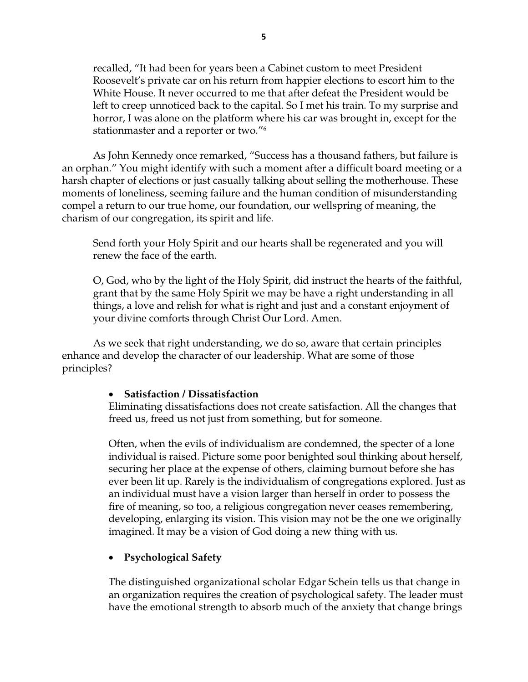recalled, "It had been for years been a Cabinet custom to meet President Roosevelt's private car on his return from happier elections to escort him to the White House. It never occurred to me that after defeat the President would be left to creep unnoticed back to the capital. So I met his train. To my surprise and horror, I was alone on the platform where his car was brought in, except for the stationmaster and a reporter or two."6 

As John Kennedy once remarked, "Success has a thousand fathers, but failure is an orphan." You might identify with such a moment after a difficult board meeting or a harsh chapter of elections or just casually talking about selling the motherhouse. These moments of loneliness, seeming failure and the human condition of misunderstanding compel a return to our true home, our foundation, our wellspring of meaning, the charism of our congregation, its spirit and life.

Send forth your Holy Spirit and our hearts shall be regenerated and you will renew the face of the earth.

O, God, who by the light of the Holy Spirit, did instruct the hearts of the faithful, grant that by the same Holy Spirit we may be have a right understanding in all things, a love and relish for what is right and just and a constant enjoyment of your divine comforts through Christ Our Lord. Amen.

As we seek that right understanding, we do so, aware that certain principles enhance and develop the character of our leadership. What are some of those principles?

#### **Satisfaction / Dissatisfaction**

Eliminating dissatisfactions does not create satisfaction. All the changes that freed us, freed us not just from something, but for someone.

Often, when the evils of individualism are condemned, the specter of a lone individual is raised. Picture some poor benighted soul thinking about herself, securing her place at the expense of others, claiming burnout before she has ever been lit up. Rarely is the individualism of congregations explored. Just as an individual must have a vision larger than herself in order to possess the fire of meaning, so too, a religious congregation never ceases remembering, developing, enlarging its vision. This vision may not be the one we originally imagined. It may be a vision of God doing a new thing with us.

## **Psychological Safety**

The distinguished organizational scholar Edgar Schein tells us that change in an organization requires the creation of psychological safety. The leader must have the emotional strength to absorb much of the anxiety that change brings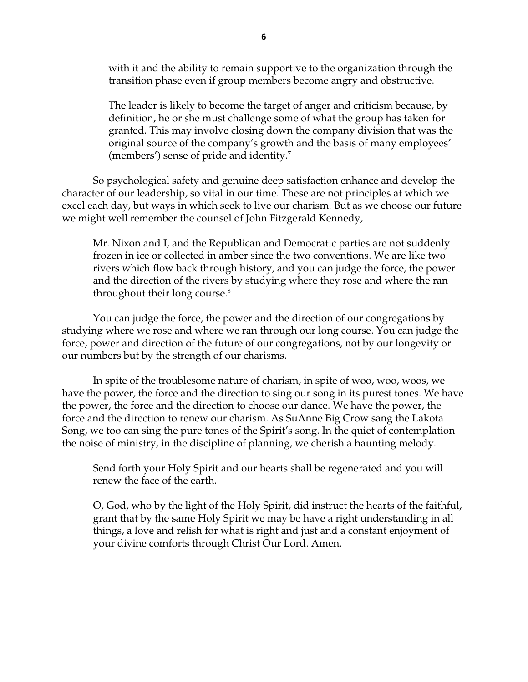with it and the ability to remain supportive to the organization through the transition phase even if group members become angry and obstructive.

The leader is likely to become the target of anger and criticism because, by definition, he or she must challenge some of what the group has taken for granted. This may involve closing down the company division that was the original source of the company's growth and the basis of many employees' (members') sense of pride and identity.7

So psychological safety and genuine deep satisfaction enhance and develop the character of our leadership, so vital in our time. These are not principles at which we excel each day, but ways in which seek to live our charism. But as we choose our future we might well remember the counsel of John Fitzgerald Kennedy,

Mr. Nixon and I, and the Republican and Democratic parties are not suddenly frozen in ice or collected in amber since the two conventions. We are like two rivers which flow back through history, and you can judge the force, the power and the direction of the rivers by studying where they rose and where the ran throughout their long course. $8$ 

You can judge the force, the power and the direction of our congregations by studying where we rose and where we ran through our long course. You can judge the force, power and direction of the future of our congregations, not by our longevity or our numbers but by the strength of our charisms.

In spite of the troublesome nature of charism, in spite of woo, woo, woos, we have the power, the force and the direction to sing our song in its purest tones. We have the power, the force and the direction to choose our dance. We have the power, the force and the direction to renew our charism. As SuAnne Big Crow sang the Lakota Song, we too can sing the pure tones of the Spirit's song. In the quiet of contemplation the noise of ministry, in the discipline of planning, we cherish a haunting melody.

Send forth your Holy Spirit and our hearts shall be regenerated and you will renew the face of the earth.

O, God, who by the light of the Holy Spirit, did instruct the hearts of the faithful, grant that by the same Holy Spirit we may be have a right understanding in all things, a love and relish for what is right and just and a constant enjoyment of your divine comforts through Christ Our Lord. Amen.